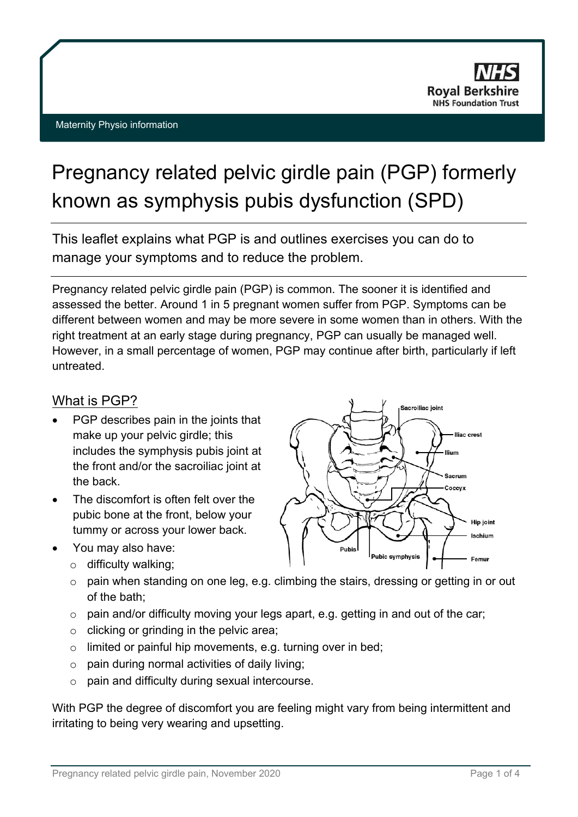

# Pregnancy related pelvic girdle pain (PGP) formerly known as symphysis pubis dysfunction (SPD)

This leaflet explains what PGP is and outlines exercises you can do to manage your symptoms and to reduce the problem.

Pregnancy related pelvic girdle pain (PGP) is common. The sooner it is identified and assessed the better. Around 1 in 5 pregnant women suffer from PGP. Symptoms can be different between women and may be more severe in some women than in others. With the right treatment at an early stage during pregnancy, PGP can usually be managed well. However, in a small percentage of women, PGP may continue after birth, particularly if left untreated.

#### What is PGP?

- PGP describes pain in the joints that make up your pelvic girdle; this includes the symphysis pubis joint at the front and/or the sacroiliac joint at the back.
- The discomfort is often felt over the pubic bone at the front, below your tummy or across your lower back.
- You may also have:
	- o difficulty walking;
	- o pain when standing on one leg, e.g. climbing the stairs, dressing or getting in or out of the bath;
	- $\circ$  pain and/or difficulty moving your legs apart, e.g. getting in and out of the car;
	- $\circ$  clicking or grinding in the pelvic area;
	- o limited or painful hip movements, e.g. turning over in bed;
	- $\circ$  pain during normal activities of daily living;
	- o pain and difficulty during sexual intercourse.

With PGP the degree of discomfort you are feeling might vary from being intermittent and irritating to being very wearing and upsetting.

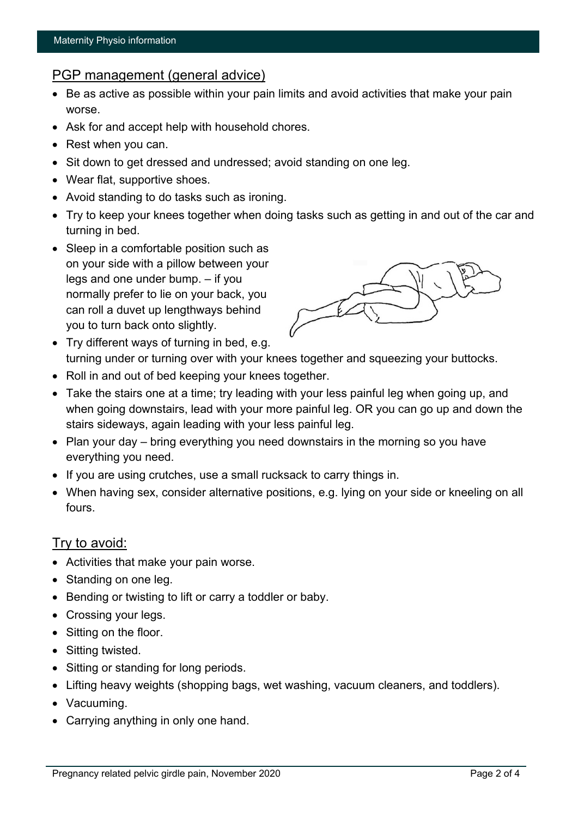# PGP management (general advice)

- Be as active as possible within your pain limits and avoid activities that make your pain worse.
- Ask for and accept help with household chores.
- Rest when you can.
- Sit down to get dressed and undressed; avoid standing on one leg.
- Wear flat, supportive shoes.
- Avoid standing to do tasks such as ironing.
- Try to keep your knees together when doing tasks such as getting in and out of the car and turning in bed.
- Sleep in a comfortable position such as on your side with a pillow between your legs and one under bump. – if you normally prefer to lie on your back, you can roll a duvet up lengthways behind you to turn back onto slightly.



- Try different ways of turning in bed, e.g. turning under or turning over with your knees together and squeezing your buttocks.
- Roll in and out of bed keeping your knees together.
- Take the stairs one at a time; try leading with your less painful leg when going up, and when going downstairs, lead with your more painful leg. OR you can go up and down the stairs sideways, again leading with your less painful leg.
- Plan your day bring everything you need downstairs in the morning so you have everything you need.
- If you are using crutches, use a small rucksack to carry things in.
- When having sex, consider alternative positions, e.g. lying on your side or kneeling on all fours.

## Try to avoid:

- Activities that make your pain worse.
- Standing on one leg.
- Bending or twisting to lift or carry a toddler or baby.
- Crossing your legs.
- Sitting on the floor.
- Sitting twisted.
- Sitting or standing for long periods.
- Lifting heavy weights (shopping bags, wet washing, vacuum cleaners, and toddlers).
- Vacuuming.
- Carrying anything in only one hand.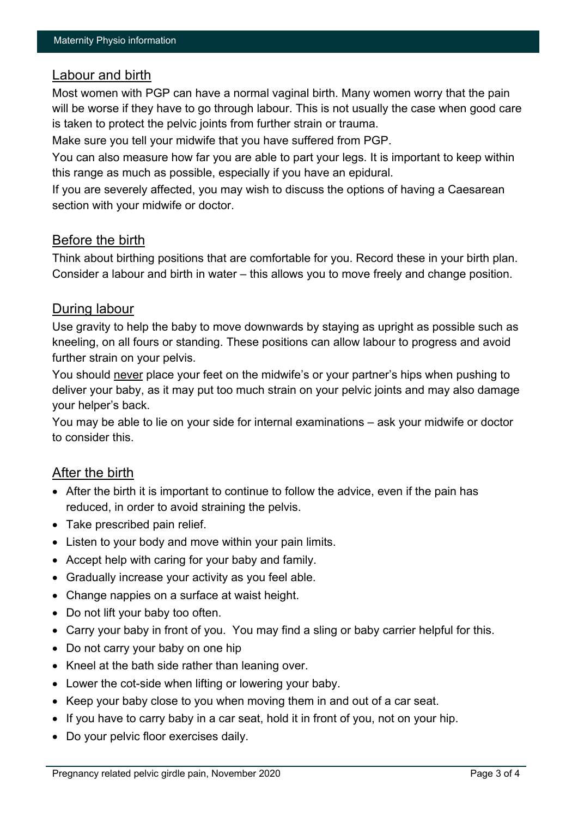# Labour and birth

Most women with PGP can have a normal vaginal birth. Many women worry that the pain will be worse if they have to go through labour. This is not usually the case when good care is taken to protect the pelvic joints from further strain or trauma.

Make sure you tell your midwife that you have suffered from PGP.

You can also measure how far you are able to part your legs. It is important to keep within this range as much as possible, especially if you have an epidural.

If you are severely affected, you may wish to discuss the options of having a Caesarean section with your midwife or doctor.

#### Before the birth

Think about birthing positions that are comfortable for you. Record these in your birth plan. Consider a labour and birth in water – this allows you to move freely and change position.

## During labour

Use gravity to help the baby to move downwards by staying as upright as possible such as kneeling, on all fours or standing. These positions can allow labour to progress and avoid further strain on your pelvis.

You should never place your feet on the midwife's or your partner's hips when pushing to deliver your baby, as it may put too much strain on your pelvic joints and may also damage your helper's back.

You may be able to lie on your side for internal examinations – ask your midwife or doctor to consider this.

## After the birth

- After the birth it is important to continue to follow the advice, even if the pain has reduced, in order to avoid straining the pelvis.
- Take prescribed pain relief.
- Listen to your body and move within your pain limits.
- Accept help with caring for your baby and family.
- Gradually increase your activity as you feel able.
- Change nappies on a surface at waist height.
- Do not lift your baby too often.
- Carry your baby in front of you. You may find a sling or baby carrier helpful for this.
- Do not carry your baby on one hip
- Kneel at the bath side rather than leaning over.
- Lower the cot-side when lifting or lowering your baby.
- Keep your baby close to you when moving them in and out of a car seat.
- If you have to carry baby in a car seat, hold it in front of you, not on your hip.
- Do your pelvic floor exercises daily.